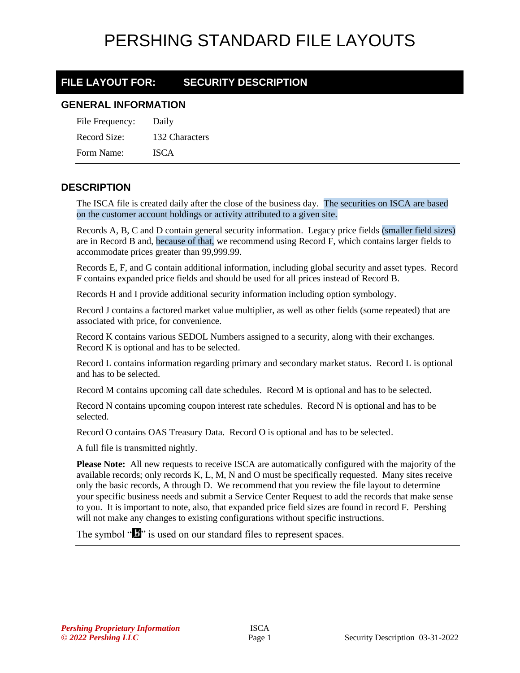#### **FILE LAYOUT FOR: SECURITY DESCRIPTION**

#### **GENERAL INFORMATION**

| File Frequency: | Daily          |
|-----------------|----------------|
| Record Size:    | 132 Characters |
| Form Name:      | <b>ISCA</b>    |

#### **DESCRIPTION**

The ISCA file is created daily after the close of the business day. The securities on ISCA are based on the customer account holdings or activity attributed to a given site.

Records A, B, C and D contain general security information. Legacy price fields (smaller field sizes) are in Record B and, because of that, we recommend using Record F, which contains larger fields to accommodate prices greater than 99,999.99.

Records E, F, and G contain additional information, including global security and asset types. Record F contains expanded price fields and should be used for all prices instead of Record B.

Records H and I provide additional security information including option symbology.

Record J contains a factored market value multiplier, as well as other fields (some repeated) that are associated with price, for convenience.

Record K contains various SEDOL Numbers assigned to a security, along with their exchanges. Record K is optional and has to be selected.

Record L contains information regarding primary and secondary market status. Record L is optional and has to be selected.

Record M contains upcoming call date schedules. Record M is optional and has to be selected.

Record N contains upcoming coupon interest rate schedules. Record N is optional and has to be selected.

Record O contains OAS Treasury Data. Record O is optional and has to be selected.

A full file is transmitted nightly.

**Please Note:** All new requests to receive ISCA are automatically configured with the majority of the available records; only records K, L, M, N and O must be specifically requested. Many sites receive only the basic records, A through D. We recommend that you review the file layout to determine your specific business needs and submit a Service Center Request to add the records that make sense to you. It is important to note, also, that expanded price field sizes are found in record F. Pershing will not make any changes to existing configurations without specific instructions.

The symbol " $\mathbf{I}$ " is used on our standard files to represent spaces.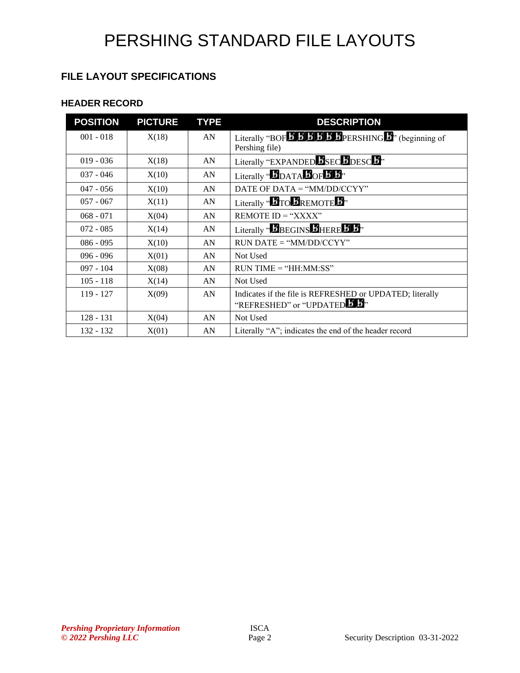#### **FILE LAYOUT SPECIFICATIONS**

#### **HEADER RECORD**

| <b>POSITION</b> | <b>PICTURE</b> | <b>TYPE</b> | <b>DESCRIPTION</b>                                                                  |
|-----------------|----------------|-------------|-------------------------------------------------------------------------------------|
| $001 - 018$     | X(18)          | AN          |                                                                                     |
|                 |                |             | Pershing file)                                                                      |
| $019 - 036$     | X(18)          | AN          | Literally "EXPANDED SECTIDESC",                                                     |
| $037 - 046$     | X(10)          | AN          | Literally " $\mathbf{b}_{\text{DATA}}\mathbf{b}_{\text{OF}}\mathbf{b}_{\text{B}}$ " |
| $047 - 056$     | X(10)          | AN          | DATE OF DATA $=$ "MM/DD/CCYY"                                                       |
| $057 - 067$     | X(11)          | AN          | Literally " <b>BTO BREMOTE</b> B"                                                   |
| $068 - 071$     | X(04)          | AN          | REMOTE $ID = "XXX"$                                                                 |
| $072 - 085$     | X(14)          | AN          | Literally "BBEGINS BHERE B B"                                                       |
| $086 - 095$     | X(10)          | AN          | $RUN\ DATE = "MM/DD/CCYY"$                                                          |
| $096 - 096$     | X(01)          | AN          | Not Used                                                                            |
| $097 - 104$     | X(08)          | AN          | $RUN TIME = "HH:MM:SS"$                                                             |
| $105 - 118$     | X(14)          | AN          | Not Used                                                                            |
| $119 - 127$     | X(09)          | AN          | Indicates if the file is REFRESHED or UPDATED; literally                            |
|                 |                |             | "REFRESHED" or "UPDATED B B"                                                        |
| 128 - 131       | X(04)          | AN          | Not Used                                                                            |
| $132 - 132$     | X(01)          | AN          | Literally "A"; indicates the end of the header record                               |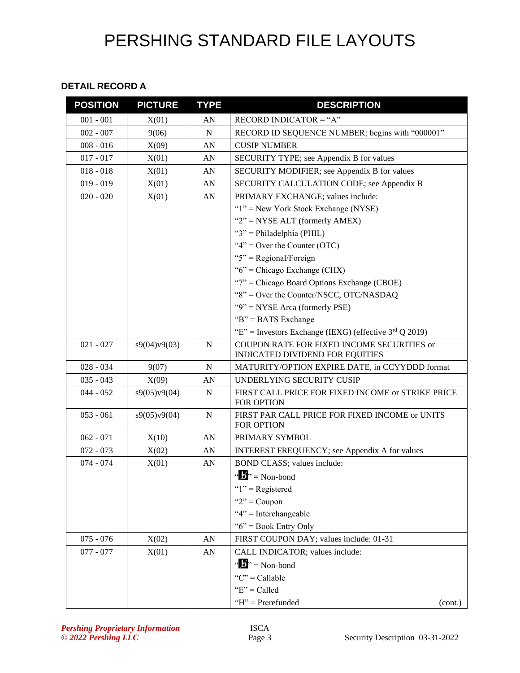#### **DETAIL RECORD A**

| <b>POSITION</b> | <b>PICTURE</b> | <b>TYPE</b> | <b>DESCRIPTION</b>                                                            |
|-----------------|----------------|-------------|-------------------------------------------------------------------------------|
| $001 - 001$     | X(01)          | AN          | RECORD INDICATOR = "A"                                                        |
| $002 - 007$     | 9(06)          | N           | RECORD ID SEQUENCE NUMBER; begins with "000001"                               |
| $008 - 016$     | X(09)          | AN          | <b>CUSIP NUMBER</b>                                                           |
| $017 - 017$     | X(01)          | AN          | SECURITY TYPE; see Appendix B for values                                      |
| $018 - 018$     | X(01)          | AN          | SECURITY MODIFIER; see Appendix B for values                                  |
| $019 - 019$     | X(01)          | AN          | SECURITY CALCULATION CODE; see Appendix B                                     |
| $020 - 020$     | X(01)          | AN          | PRIMARY EXCHANGE; values include:                                             |
|                 |                |             | " $1$ " = New York Stock Exchange (NYSE)                                      |
|                 |                |             | " $2$ " = NYSE ALT (formerly AMEX)                                            |
|                 |                |             | " $3$ " = Philadelphia (PHIL)                                                 |
|                 |                |             | " $4$ " = Over the Counter (OTC)                                              |
|                 |                |             | " $5$ " = Regional/Foreign                                                    |
|                 |                |             | " $6$ " = Chicago Exchange (CHX)                                              |
|                 |                |             | " $7$ " = Chicago Board Options Exchange (CBOE)                               |
|                 |                |             | "8" = Over the Counter/NSCC, OTC/NASDAQ                                       |
|                 |                |             | " $9$ " = NYSE Arca (formerly PSE)                                            |
|                 |                |             | " $B$ " = BATS Exchange                                                       |
|                 |                |             | "E" = Investors Exchange (IEXG) (effective $3rd Q$ 2019)                      |
| $021 - 027$     | s9(04)v9(03)   | $\mathbf N$ | COUPON RATE FOR FIXED INCOME SECURITIES or<br>INDICATED DIVIDEND FOR EQUITIES |
| $028 - 034$     | 9(07)          | N           | MATURITY/OPTION EXPIRE DATE, in CCYYDDD format                                |
| $035 - 043$     | X(09)          | AN          | UNDERLYING SECURITY CUSIP                                                     |
| $044 - 052$     | s9(05)v9(04)   | N           | FIRST CALL PRICE FOR FIXED INCOME or STRIKE PRICE<br>FOR OPTION               |
| $053 - 061$     | s9(05)v9(04)   | ${\bf N}$   | FIRST PAR CALL PRICE FOR FIXED INCOME or UNITS<br>FOR OPTION                  |
| $062 - 071$     | X(10)          | AN          | PRIMARY SYMBOL                                                                |
| $072 - 073$     | X(02)          | AN          | INTEREST FREQUENCY; see Appendix A for values                                 |
| $074 - 074$     | X(01)          | AN          | BOND CLASS; values include:                                                   |
|                 |                |             | $\mathbf{a} \cdot \mathbf{b}$ <sup>3</sup> = Non-bond                         |
|                 |                |             | " $1"$ = Registered                                                           |
|                 |                |             | " $2"$ = Coupon                                                               |
|                 |                |             | " $4$ " = Interchangeable                                                     |
|                 |                |             | " $6$ " = Book Entry Only                                                     |
| $075 - 076$     | X(02)          | AN          | FIRST COUPON DAY; values include: 01-31                                       |
| $077 - 077$     | X(01)          | AN          | CALL INDICATOR; values include:                                               |
|                 |                |             | " $\mathbf{b}$ " = Non-bond                                                   |
|                 |                |             | " $C$ " = Callable                                                            |
|                 |                |             | " $E$ " = Called                                                              |
|                 |                |             | $H$ "= Prerefunded<br>(cont.)                                                 |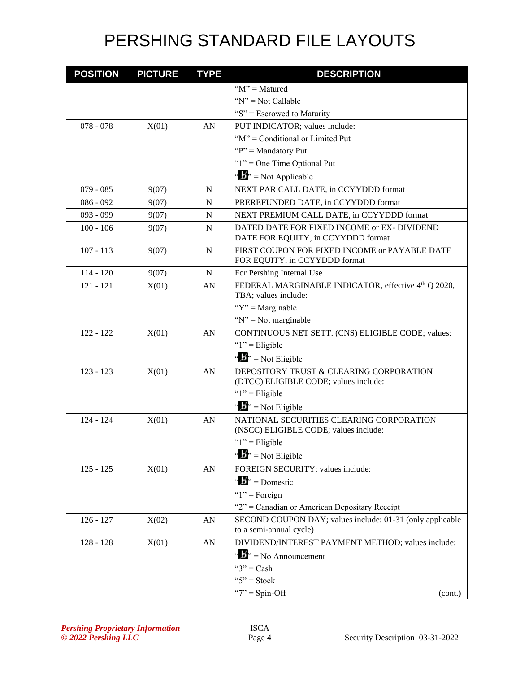| <b>POSITION</b> | <b>PICTURE</b> | <b>TYPE</b> | <b>DESCRIPTION</b>                                                                |
|-----------------|----------------|-------------|-----------------------------------------------------------------------------------|
|                 |                |             | " $M$ " = Matured                                                                 |
|                 |                |             | " $N$ " = Not Callable                                                            |
|                 |                |             | " $S$ " = Escrowed to Maturity                                                    |
| $078 - 078$     | X(01)          | AN          | PUT INDICATOR; values include:                                                    |
|                 |                |             | "M" = Conditional or Limited Put                                                  |
|                 |                |             | " $P$ " = Mandatory Put                                                           |
|                 |                |             | " $1$ " = One Time Optional Put                                                   |
|                 |                |             | " $\mathbf{B}$ " = Not Applicable                                                 |
| $079 - 085$     | 9(07)          | N           | NEXT PAR CALL DATE, in CCYYDDD format                                             |
| $086 - 092$     | 9(07)          | N           | PREREFUNDED DATE, in CCYYDDD format                                               |
| 093 - 099       | 9(07)          | N           | NEXT PREMIUM CALL DATE, in CCYYDDD format                                         |
| $100 - 106$     | 9(07)          | N           | DATED DATE FOR FIXED INCOME or EX- DIVIDEND<br>DATE FOR EQUITY, in CCYYDDD format |
| $107 - 113$     | 9(07)          | $\mathbf N$ | FIRST COUPON FOR FIXED INCOME or PAYABLE DATE<br>FOR EQUITY, in CCYYDDD format    |
| $114 - 120$     | 9(07)          | ${\bf N}$   | For Pershing Internal Use                                                         |
| $121 - 121$     | X(01)          | AN          | FEDERAL MARGINABLE INDICATOR, effective 4th Q 2020,<br>TBA; values include:       |
|                 |                |             | " $Y$ " = Marginable                                                              |
|                 |                |             | " $N$ " = Not marginable                                                          |
| $122 - 122$     | X(01)          | AN          | CONTINUOUS NET SETT. (CNS) ELIGIBLE CODE; values:                                 |
|                 |                |             | " $1$ " = Eligible                                                                |
|                 |                |             | " $\mathbf{B}$ " = Not Eligible                                                   |
| $123 - 123$     | X(01)          | AN          | DEPOSITORY TRUST & CLEARING CORPORATION<br>(DTCC) ELIGIBLE CODE; values include:  |
|                 |                |             | " $1$ " = Eligible                                                                |
|                 |                |             | " $\mathbf{B}$ " = Not Eligible                                                   |
| $124 - 124$     | X(01)          | AN          | NATIONAL SECURITIES CLEARING CORPORATION<br>(NSCC) ELIGIBLE CODE; values include: |
|                 |                |             | " $1$ " = Eligible                                                                |
|                 |                |             | " $\mathbf{B}$ " = Not Eligible                                                   |
| $125 - 125$     | X(01)          | ${\rm AN}$  | FOREIGN SECURITY; values include:                                                 |
|                 |                |             | $\mathbf{B}^{\prime\prime}$ = Domestic                                            |
|                 |                |             | " $1$ " = Foreign                                                                 |
|                 |                |             | "2" = Canadian or American Depositary Receipt                                     |
| $126 - 127$     | X(02)          | AN          | SECOND COUPON DAY; values include: 01-31 (only applicable                         |
|                 |                |             | to a semi-annual cycle)                                                           |
| $128 - 128$     | X(01)          | AN          | DIVIDEND/INTEREST PAYMENT METHOD; values include:                                 |
|                 |                |             | $\mathbf{A}$ $\mathbf{B}$ <sup>3</sup> = No Announcement                          |
|                 |                |             | " $3"$ = Cash"                                                                    |
|                 |                |             | " $5$ " = Stock                                                                   |
|                 |                |             | " $7" = Spin-Off$<br>(cont.)                                                      |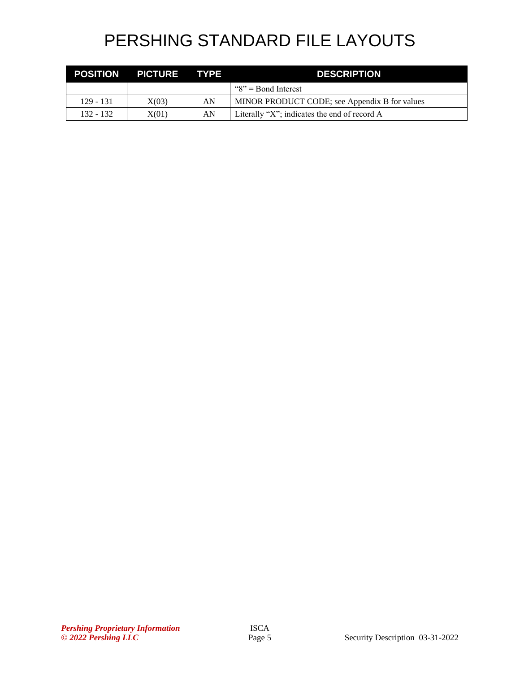| <b>POSITION</b> | <b>PICTURE TYPE</b> |    | <b>DESCRIPTION</b>                            |
|-----------------|---------------------|----|-----------------------------------------------|
|                 |                     |    | $\degree$ S <sup>1</sup> = Bond Interest      |
| 129 - 131       | X(03)               | AN | MINOR PRODUCT CODE; see Appendix B for values |
| 132 - 132       | X(01)               | AN | Literally "X"; indicates the end of record A  |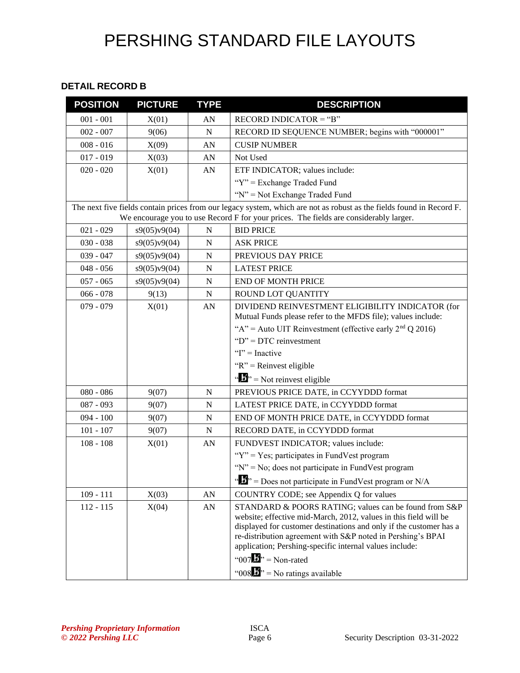#### **DETAIL RECORD B**

| <b>POSITION</b> | <b>PICTURE</b> | <b>TYPE</b> | <b>DESCRIPTION</b>                                                                                                                                                                                                                                                                                                        |
|-----------------|----------------|-------------|---------------------------------------------------------------------------------------------------------------------------------------------------------------------------------------------------------------------------------------------------------------------------------------------------------------------------|
| $001 - 001$     | X(01)          | AN          | RECORD INDICATOR = "B"                                                                                                                                                                                                                                                                                                    |
| $002 - 007$     | 9(06)          | $\mathbf N$ | RECORD ID SEQUENCE NUMBER; begins with "000001"                                                                                                                                                                                                                                                                           |
| $008 - 016$     | X(09)          | AN          | <b>CUSIP NUMBER</b>                                                                                                                                                                                                                                                                                                       |
| $017 - 019$     | X(03)          | AN          | Not Used                                                                                                                                                                                                                                                                                                                  |
| $020 - 020$     | X(01)          | AN          | ETF INDICATOR; values include:                                                                                                                                                                                                                                                                                            |
|                 |                |             | "Y" = Exchange Traded Fund                                                                                                                                                                                                                                                                                                |
|                 |                |             | "N" = Not Exchange Traded Fund                                                                                                                                                                                                                                                                                            |
|                 |                |             | The next five fields contain prices from our legacy system, which are not as robust as the fields found in Record F.<br>We encourage you to use Record F for your prices. The fields are considerably larger.                                                                                                             |
| $021 - 029$     | s9(05)v9(04)   | $\mathbf N$ | <b>BID PRICE</b>                                                                                                                                                                                                                                                                                                          |
| $030 - 038$     | s9(05)v9(04)   | N           | <b>ASK PRICE</b>                                                                                                                                                                                                                                                                                                          |
| $039 - 047$     | s9(05)v9(04)   | N           | PREVIOUS DAY PRICE                                                                                                                                                                                                                                                                                                        |
| $048 - 056$     | s9(05)v9(04)   | N           | <b>LATEST PRICE</b>                                                                                                                                                                                                                                                                                                       |
| $057 - 065$     | s9(05)v9(04)   | $\mathbf N$ | <b>END OF MONTH PRICE</b>                                                                                                                                                                                                                                                                                                 |
| $066 - 078$     | 9(13)          | N           | ROUND LOT QUANTITY                                                                                                                                                                                                                                                                                                        |
| $079 - 079$     | X(01)          | AN          | DIVIDEND REINVESTMENT ELIGIBILITY INDICATOR (for<br>Mutual Funds please refer to the MFDS file); values include:                                                                                                                                                                                                          |
|                 |                |             | "A" = Auto UIT Reinvestment (effective early $2nd Q 2016$ )                                                                                                                                                                                                                                                               |
|                 |                |             | " $D$ " = DTC reinvestment                                                                                                                                                                                                                                                                                                |
|                 |                |             | " $I$ " = Inactive                                                                                                                                                                                                                                                                                                        |
|                 |                |             | " $R$ " = Reinvest eligible                                                                                                                                                                                                                                                                                               |
|                 |                |             | $\mathbf{B}^{\prime\prime}$ = Not reinvest eligible                                                                                                                                                                                                                                                                       |
| $080 - 086$     | 9(07)          | N           | PREVIOUS PRICE DATE, in CCYYDDD format                                                                                                                                                                                                                                                                                    |
| 087 - 093       | 9(07)          | $\mathbf N$ | LATEST PRICE DATE, in CCYYDDD format                                                                                                                                                                                                                                                                                      |
| $094 - 100$     | 9(07)          | N           | END OF MONTH PRICE DATE, in CCYYDDD format                                                                                                                                                                                                                                                                                |
| $101 - 107$     | 9(07)          | ${\bf N}$   | RECORD DATE, in CCYYDDD format                                                                                                                                                                                                                                                                                            |
| $108 - 108$     | X(01)          | AN          | FUNDVEST INDICATOR; values include:                                                                                                                                                                                                                                                                                       |
|                 |                |             | " $Y$ " = Yes; participates in FundVest program                                                                                                                                                                                                                                                                           |
|                 |                |             | " $N$ " = No; does not participate in FundVest program                                                                                                                                                                                                                                                                    |
|                 |                |             | " $\mathbf{L}$ " = Does not participate in FundVest program or N/A                                                                                                                                                                                                                                                        |
| $109 - 111$     | X(03)          | AN          | COUNTRY CODE; see Appendix Q for values                                                                                                                                                                                                                                                                                   |
| $112 - 115$     | X(04)          | AN          | STANDARD & POORS RATING; values can be found from S&P<br>website; effective mid-March, 2012, values in this field will be<br>displayed for customer destinations and only if the customer has a<br>re-distribution agreement with S&P noted in Pershing's BPAI<br>application; Pershing-specific internal values include: |
|                 |                |             | "007 $\mathbf{B}$ " = Non-rated<br>" $008$ $\mathbf{F}$ " = No ratings available                                                                                                                                                                                                                                          |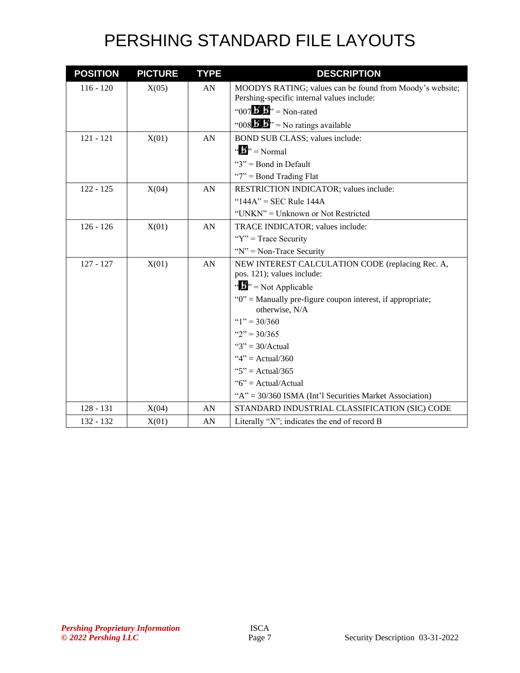| <b>POSITION</b> | <b>PICTURE</b> | <b>TYPE</b> | <b>DESCRIPTION</b>                                                               |
|-----------------|----------------|-------------|----------------------------------------------------------------------------------|
| $116 - 120$     | X(05)          | AN          | MOODYS RATING; values can be found from Moody's website;                         |
|                 |                |             | Pershing-specific internal values include:                                       |
|                 |                |             | "007 $\overrightarrow{B}$ $\overrightarrow{B}$ " = Non-rated                     |
|                 |                |             | "008 $\mathbf{B}$ $\mathbf{B}$ " = No ratings available                          |
| $121 - 121$     | X(01)          | AN          | BOND SUB CLASS; values include:                                                  |
|                 |                |             | " $\mathbf{b}$ " = Normal                                                        |
|                 |                |             | " $3$ " = Bond in Default                                                        |
|                 |                |             | "7" = Bond Trading Flat                                                          |
| $122 - 125$     | X(04)          | AN          | RESTRICTION INDICATOR; values include:                                           |
|                 |                |             | " $144A$ " = SEC Rule $144A$                                                     |
|                 |                |             | "UNKN" = Unknown or Not Restricted                                               |
| $126 - 126$     | X(01)          | AN          | TRACE INDICATOR; values include:                                                 |
|                 |                |             | " $Y$ " = Trace Security"                                                        |
|                 |                |             | " $N$ " = Non-Trace Security"                                                    |
| $127 - 127$     | X(01)          | AN          | NEW INTEREST CALCULATION CODE (replacing Rec. A,                                 |
|                 |                |             | pos. 121); values include:                                                       |
|                 |                |             | $\mathbf{B}^{\prime\prime}$ = Not Applicable                                     |
|                 |                |             | " $0$ " = Manually pre-figure coupon interest, if appropriate;<br>otherwise, N/A |
|                 |                |             | " $1$ " = 30/360                                                                 |
|                 |                |             | " $2$ " = 30/365                                                                 |
|                 |                |             | " $3" = 30/Actual$                                                               |
|                 |                |             | " $4$ " = Actual/360                                                             |
|                 |                |             | " $5$ " = Actual/365                                                             |
|                 |                |             | " $6$ " = Actual/Actual                                                          |
|                 |                |             | " $A$ " = 30/360 ISMA (Int'l Securities Market Association)                      |
| $128 - 131$     | X(04)          | AN          | STANDARD INDUSTRIAL CLASSIFICATION (SIC) CODE                                    |
| 132 - 132       | X(01)          | AN          | Literally "X"; indicates the end of record B                                     |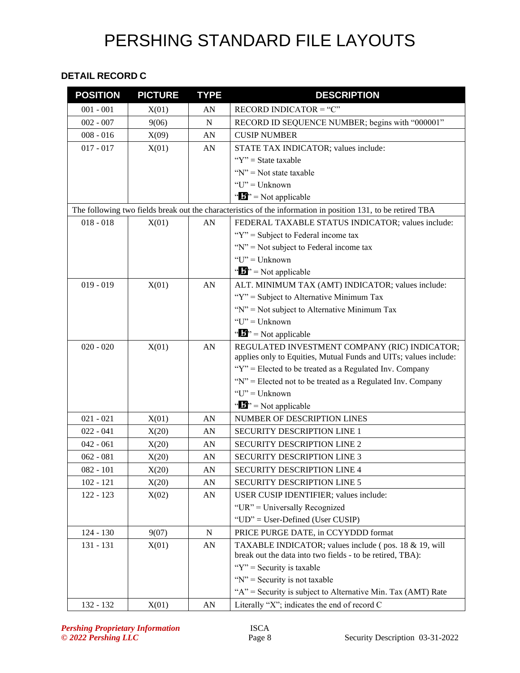#### **DETAIL RECORD C**

| <b>POSITION</b> | <b>PICTURE</b> | <b>TYPE</b> | <b>DESCRIPTION</b>                                                                                                |
|-----------------|----------------|-------------|-------------------------------------------------------------------------------------------------------------------|
| $001 - 001$     | X(01)          | AN          | RECORD INDICATOR = " $C$ "                                                                                        |
| $002 - 007$     | 9(06)          | $\mathbf N$ | RECORD ID SEQUENCE NUMBER; begins with "000001"                                                                   |
| $008 - 016$     | X(09)          | AN          | <b>CUSIP NUMBER</b>                                                                                               |
| $017 - 017$     | X(01)          | AN          | STATE TAX INDICATOR; values include:                                                                              |
|                 |                |             | " $Y$ " = State taxable                                                                                           |
|                 |                |             | " $N$ " = Not state taxable                                                                                       |
|                 |                |             | $"U"$ = Unknown                                                                                                   |
|                 |                |             | $\mathbf{B}^{\prime\prime}$ = Not applicable                                                                      |
|                 |                |             | The following two fields break out the characteristics of the information in position 131, to be retired TBA      |
| $018 - 018$     | X(01)          | AN          | FEDERAL TAXABLE STATUS INDICATOR; values include:                                                                 |
|                 |                |             | " $Y$ " = Subject to Federal income tax                                                                           |
|                 |                |             | " $N$ " = Not subject to Federal income tax                                                                       |
|                 |                |             | $"U"$ = Unknown                                                                                                   |
|                 |                |             | $\mathbf{B}^{\prime\prime}$ = Not applicable                                                                      |
| $019 - 019$     | X(01)          | AN          | ALT. MINIMUM TAX (AMT) INDICATOR; values include:                                                                 |
|                 |                |             | "Y" = Subject to Alternative Minimum Tax                                                                          |
|                 |                |             | " $N$ " = Not subject to Alternative Minimum Tax                                                                  |
|                 |                |             | $"U"$ = Unknown                                                                                                   |
|                 |                |             | " $\mathbf{B}$ " = Not applicable                                                                                 |
| $020 - 020$     | X(01)          | AN          | REGULATED INVESTMENT COMPANY (RIC) INDICATOR;<br>applies only to Equities, Mutual Funds and UITs; values include: |
|                 |                |             | "Y" = Elected to be treated as a Regulated Inv. Company                                                           |
|                 |                |             | "N" = Elected not to be treated as a Regulated Inv. Company                                                       |
|                 |                |             | " $U$ " = Unknown                                                                                                 |
|                 |                |             | " $\mathbf{B}$ " = Not applicable                                                                                 |
| $021 - 021$     | X(01)          | AN          | NUMBER OF DESCRIPTION LINES                                                                                       |
| $022 - 041$     | X(20)          | AN          | SECURITY DESCRIPTION LINE 1                                                                                       |
| $042 - 061$     | X(20)          | AN          | <b>SECURITY DESCRIPTION LINE 2</b>                                                                                |
| $062 - 081$     | X(20)          | AN          | <b>SECURITY DESCRIPTION LINE 3</b>                                                                                |
| 082 - 101       | X(20)          | AN          | SECURITY DESCRIPTION LINE 4                                                                                       |
| $102 - 121$     | X(20)          | AN          | <b>SECURITY DESCRIPTION LINE 5</b>                                                                                |
| 122 - 123       | X(02)          | AN          | USER CUSIP IDENTIFIER; values include:                                                                            |
|                 |                |             | "UR" = Universally Recognized                                                                                     |
|                 |                |             | "UD" = User-Defined (User CUSIP)                                                                                  |
| $124 - 130$     | 9(07)          | N           | PRICE PURGE DATE, in CCYYDDD format                                                                               |
| 131 - 131       | X(01)          | ${\rm AN}$  | TAXABLE INDICATOR; values include (pos. 18 & 19, will                                                             |
|                 |                |             | break out the data into two fields - to be retired, TBA):                                                         |
|                 |                |             | " $Y$ " = Security is taxable                                                                                     |
|                 |                |             | " $N$ " = Security is not taxable                                                                                 |
|                 |                |             | "A" = Security is subject to Alternative Min. Tax (AMT) Rate                                                      |
| 132 - 132       | X(01)          | AN          | Literally "X"; indicates the end of record C                                                                      |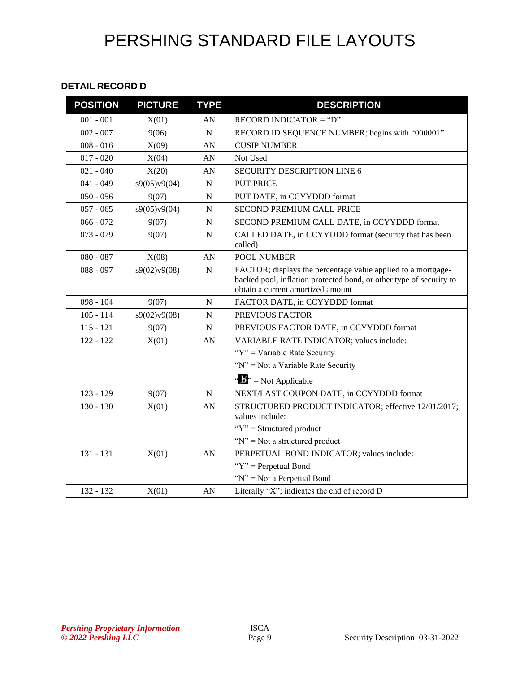#### **DETAIL RECORD D**

| <b>POSITION</b> | <b>PICTURE</b> | <b>TYPE</b> | <b>DESCRIPTION</b>                                                                                                                                                       |
|-----------------|----------------|-------------|--------------------------------------------------------------------------------------------------------------------------------------------------------------------------|
| $001 - 001$     | X(01)          | AN          | RECORD INDICATOR $=$ "D"                                                                                                                                                 |
| $002 - 007$     | 9(06)          | $\mathbf N$ | RECORD ID SEQUENCE NUMBER; begins with "000001"                                                                                                                          |
| $008 - 016$     | X(09)          | AN          | <b>CUSIP NUMBER</b>                                                                                                                                                      |
| $017 - 020$     | X(04)          | AN          | Not Used                                                                                                                                                                 |
| $021 - 040$     | X(20)          | AN          | <b>SECURITY DESCRIPTION LINE 6</b>                                                                                                                                       |
| $041 - 049$     | s9(05)v9(04)   | $\mathbf N$ | <b>PUT PRICE</b>                                                                                                                                                         |
| $050 - 056$     | 9(07)          | N           | PUT DATE, in CCYYDDD format                                                                                                                                              |
| $057 - 065$     | s9(05)v9(04)   | $\mathbf N$ | SECOND PREMIUM CALL PRICE                                                                                                                                                |
| $066 - 072$     | 9(07)          | ${\bf N}$   | SECOND PREMIUM CALL DATE, in CCYYDDD format                                                                                                                              |
| $073 - 079$     | 9(07)          | ${\bf N}$   | CALLED DATE, in CCYYDDD format (security that has been<br>called)                                                                                                        |
| $080 - 087$     | X(08)          | AN          | <b>POOL NUMBER</b>                                                                                                                                                       |
| $088 - 097$     | s9(02)v9(08)   | ${\bf N}$   | FACTOR; displays the percentage value applied to a mortgage-<br>backed pool, inflation protected bond, or other type of security to<br>obtain a current amortized amount |
| $098 - 104$     | 9(07)          | $\mathbf N$ | FACTOR DATE, in CCYYDDD format                                                                                                                                           |
| $105 - 114$     | s9(02)v9(08)   | ${\bf N}$   | PREVIOUS FACTOR                                                                                                                                                          |
| $115 - 121$     | 9(07)          | ${\bf N}$   | PREVIOUS FACTOR DATE, in CCYYDDD format                                                                                                                                  |
| $122 - 122$     | X(01)          | AN          | VARIABLE RATE INDICATOR; values include:                                                                                                                                 |
|                 |                |             | " $Y$ " = Variable Rate Security"                                                                                                                                        |
|                 |                |             | "N" = Not a Variable Rate Security                                                                                                                                       |
|                 |                |             | $\mathbf{w} \cdot \mathbf{w} = \mathbf{N}$ ot Applicable                                                                                                                 |
| $123 - 129$     | 9(07)          | $\mathbf N$ | NEXT/LAST COUPON DATE, in CCYYDDD format                                                                                                                                 |
| $130 - 130$     | X(01)          | AN          | STRUCTURED PRODUCT INDICATOR; effective 12/01/2017;<br>values include:                                                                                                   |
|                 |                |             | " $Y$ " = Structured product                                                                                                                                             |
|                 |                |             | " $N$ " = Not a structured product                                                                                                                                       |
| $131 - 131$     | X(01)          | AN          | PERPETUAL BOND INDICATOR; values include:                                                                                                                                |
|                 |                |             | " $Y$ " = Perpetual Bond                                                                                                                                                 |
|                 |                |             | "N" = Not a Perpetual Bond                                                                                                                                               |
| 132 - 132       | X(01)          | AN          | Literally "X"; indicates the end of record D                                                                                                                             |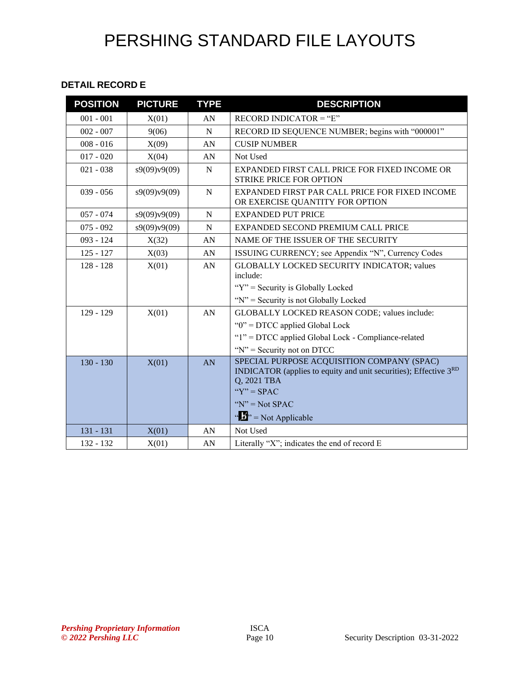#### **DETAIL RECORD E**

| <b>POSITION</b> | <b>PICTURE</b> | <b>TYPE</b> | <b>DESCRIPTION</b>                                                                                                                                                                                                      |
|-----------------|----------------|-------------|-------------------------------------------------------------------------------------------------------------------------------------------------------------------------------------------------------------------------|
| $001 - 001$     | X(01)          | AN          | RECORD INDICATOR = " $E$ "                                                                                                                                                                                              |
| $002 - 007$     | 9(06)          | ${\bf N}$   | RECORD ID SEQUENCE NUMBER; begins with "000001"                                                                                                                                                                         |
| $008 - 016$     | X(09)          | AN          | <b>CUSIP NUMBER</b>                                                                                                                                                                                                     |
| $017 - 020$     | X(04)          | AN          | Not Used                                                                                                                                                                                                                |
| $021 - 038$     | s9(09)v9(09)   | $\mathbf N$ | EXPANDED FIRST CALL PRICE FOR FIXED INCOME OR<br>STRIKE PRICE FOR OPTION                                                                                                                                                |
| $039 - 056$     | s9(09)v9(09)   | $\mathbf N$ | EXPANDED FIRST PAR CALL PRICE FOR FIXED INCOME<br>OR EXERCISE QUANTITY FOR OPTION                                                                                                                                       |
| $057 - 074$     | s9(09)v9(09)   | N           | <b>EXPANDED PUT PRICE</b>                                                                                                                                                                                               |
| $075 - 092$     | s9(09)v9(09)   | $\mathbf N$ | EXPANDED SECOND PREMIUM CALL PRICE                                                                                                                                                                                      |
| $093 - 124$     | X(32)          | AN          | NAME OF THE ISSUER OF THE SECURITY                                                                                                                                                                                      |
| $125 - 127$     | X(03)          | AN          | ISSUING CURRENCY; see Appendix "N", Currency Codes                                                                                                                                                                      |
| $128 - 128$     | X(01)          | AN          | <b>GLOBALLY LOCKED SECURITY INDICATOR; values</b><br>include:                                                                                                                                                           |
|                 |                |             | "Y" = Security is Globally Locked<br>" $N$ " = Security is not Globally Locked                                                                                                                                          |
| $129 - 129$     | X(01)          | AN          | GLOBALLY LOCKED REASON CODE; values include:                                                                                                                                                                            |
|                 |                |             | " $0$ " = DTCC applied Global Lock                                                                                                                                                                                      |
|                 |                |             | "1" = DTCC applied Global Lock - Compliance-related                                                                                                                                                                     |
|                 |                |             | " $N$ " = Security not on DTCC                                                                                                                                                                                          |
| $130 - 130$     | X(01)          | AN          | SPECIAL PURPOSE ACQUISITION COMPANY (SPAC)<br>INDICATOR (applies to equity and unit securities); Effective 3 <sup>RD</sup><br>Q, 2021 TBA<br>" $Y$ " = SPAC<br>" $N$ " = Not SPAC<br>$\cdot \cdot \cdot$ Not Applicable |
| $131 - 131$     | X(01)          | AN          | Not Used                                                                                                                                                                                                                |
| 132 - 132       | X(01)          | AN          | Literally "X"; indicates the end of record E                                                                                                                                                                            |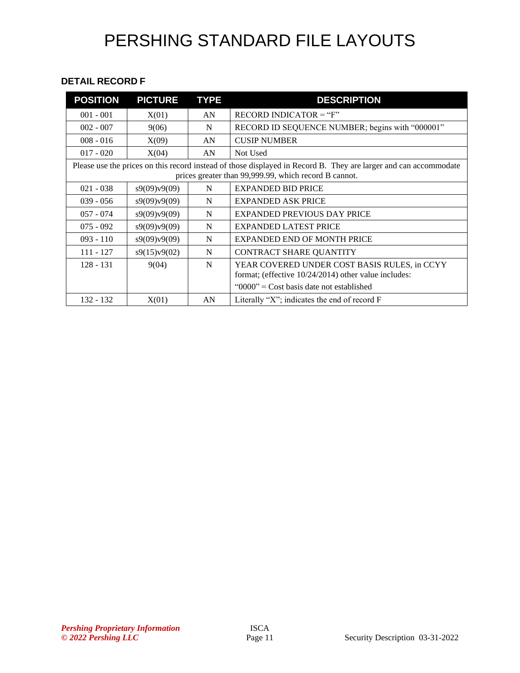#### **DETAIL RECORD F**

| <b>POSITION</b> | <b>PICTURE</b> | <b>TYPE</b> | <b>DESCRIPTION</b>                                                                                                                                                        |
|-----------------|----------------|-------------|---------------------------------------------------------------------------------------------------------------------------------------------------------------------------|
| $001 - 001$     | X(01)          | AN          | $RECORD INDICATOR = "F"$                                                                                                                                                  |
| $002 - 007$     | 9(06)          | N           | RECORD ID SEQUENCE NUMBER; begins with "000001"                                                                                                                           |
| $008 - 016$     | X(09)          | AN          | <b>CUSIP NUMBER</b>                                                                                                                                                       |
| $017 - 020$     | X(04)          | AN          | Not Used                                                                                                                                                                  |
|                 |                |             | Please use the prices on this record instead of those displayed in Record B. They are larger and can accommodate<br>prices greater than 99,999.99, which record B cannot. |
| $021 - 038$     | s9(09)v9(09)   | N           | <b>EXPANDED BID PRICE</b>                                                                                                                                                 |
| $039 - 056$     | s9(09)v9(09)   | N           | <b>EXPANDED ASK PRICE</b>                                                                                                                                                 |
| $057 - 074$     | s9(09)v9(09)   | N           | <b>EXPANDED PREVIOUS DAY PRICE</b>                                                                                                                                        |
| $075 - 092$     | s9(09)v9(09)   | N           | <b>EXPANDED LATEST PRICE</b>                                                                                                                                              |
| $093 - 110$     | s9(09)v9(09)   | N           | <b>EXPANDED END OF MONTH PRICE</b>                                                                                                                                        |
| $111 - 127$     | s9(15)v9(02)   | N           | CONTRACT SHARE QUANTITY                                                                                                                                                   |
| $128 - 131$     | 9(04)          | N           | YEAR COVERED UNDER COST BASIS RULES, in CCYY<br>format; (effective 10/24/2014) other value includes:                                                                      |
|                 |                |             | " $0000$ " = Cost basis date not established                                                                                                                              |
| $132 - 132$     | X(01)          | AN          | Literally "X"; indicates the end of record $F$                                                                                                                            |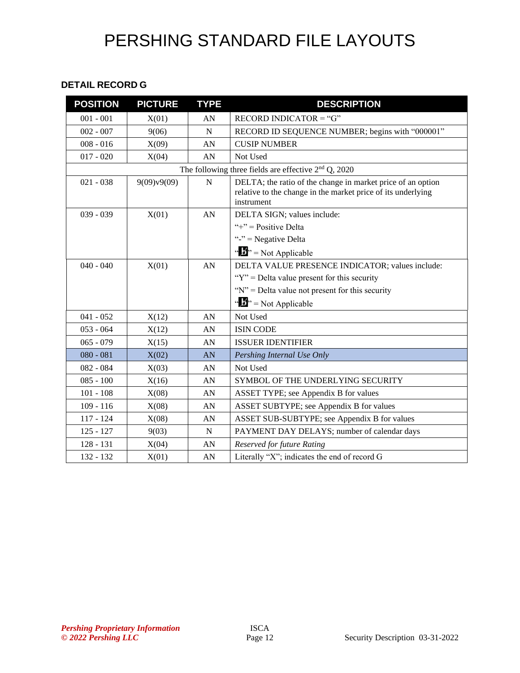#### **DETAIL RECORD G**

| <b>POSITION</b> | <b>PICTURE</b> | <b>TYPE</b> | <b>DESCRIPTION</b>                                                                                                                        |
|-----------------|----------------|-------------|-------------------------------------------------------------------------------------------------------------------------------------------|
| $001 - 001$     | X(01)          | AN          | RECORD INDICATOR = " $G$ "                                                                                                                |
| $002 - 007$     | 9(06)          | $\mathbf N$ | RECORD ID SEQUENCE NUMBER; begins with "000001"                                                                                           |
| $008 - 016$     | X(09)          | AN          | <b>CUSIP NUMBER</b>                                                                                                                       |
| $017 - 020$     | X(04)          | AN          | Not Used                                                                                                                                  |
|                 |                |             | The following three fields are effective $2nd Q$ , 2020                                                                                   |
| $021 - 038$     | 9(09)v9(09)    | N           | DELTA; the ratio of the change in market price of an option<br>relative to the change in the market price of its underlying<br>instrument |
| $039 - 039$     | X(01)          | AN          | DELTA SIGN; values include:                                                                                                               |
|                 |                |             | "+" = $Positive Delta$                                                                                                                    |
|                 |                |             | "-" = Negative Delta                                                                                                                      |
|                 |                |             | $\mathbf{B}^{\prime\prime}$ = Not Applicable                                                                                              |
| $040 - 040$     | X(01)          | AN          | DELTA VALUE PRESENCE INDICATOR; values include:                                                                                           |
|                 |                |             | " $Y$ " = Delta value present for this security                                                                                           |
|                 |                |             | " $N$ " = Delta value not present for this security                                                                                       |
|                 |                |             | $\mathbf{A}^{\mathbf{B}}$ = Not Applicable                                                                                                |
| $041 - 052$     | X(12)          | AN          | Not Used                                                                                                                                  |
| $053 - 064$     | X(12)          | AN          | <b>ISIN CODE</b>                                                                                                                          |
| $065 - 079$     | X(15)          | AN          | <b>ISSUER IDENTIFIER</b>                                                                                                                  |
| $080 - 081$     | X(02)          | AN          | Pershing Internal Use Only                                                                                                                |
| $082 - 084$     | X(03)          | AN          | Not Used                                                                                                                                  |
| $085 - 100$     | X(16)          | AN          | SYMBOL OF THE UNDERLYING SECURITY                                                                                                         |
| $101 - 108$     | X(08)          | AN          | ASSET TYPE; see Appendix B for values                                                                                                     |
| $109 - 116$     | X(08)          | AN          | ASSET SUBTYPE; see Appendix B for values                                                                                                  |
| $117 - 124$     | X(08)          | AN          | ASSET SUB-SUBTYPE; see Appendix B for values                                                                                              |
| $125 - 127$     | 9(03)          | N           | PAYMENT DAY DELAYS; number of calendar days                                                                                               |
| $128 - 131$     | X(04)          | AN          | Reserved for future Rating                                                                                                                |
| 132 - 132       | X(01)          | AN          | Literally "X"; indicates the end of record G                                                                                              |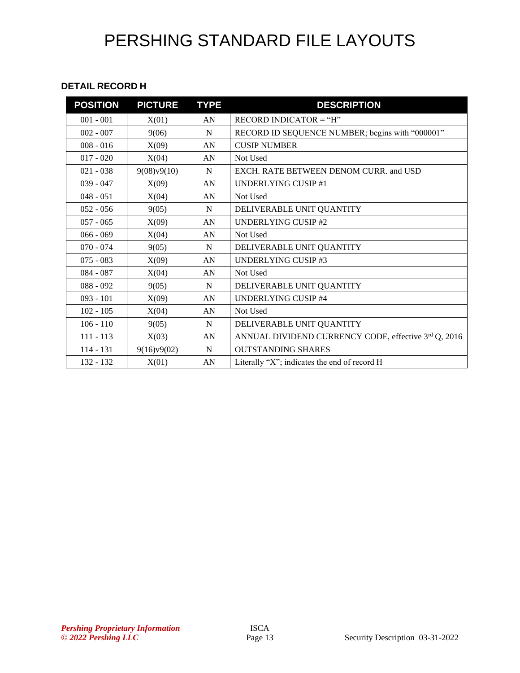#### **DETAIL RECORD H**

| <b>POSITION</b> | <b>PICTURE</b> | <b>TYPE</b>      | <b>DESCRIPTION</b>                                   |
|-----------------|----------------|------------------|------------------------------------------------------|
| $001 - 001$     | X(01)          | AN               | $RECORD INDICATOR = "H"$                             |
| $002 - 007$     | 9(06)          | N                | RECORD ID SEQUENCE NUMBER; begins with "000001"      |
| $008 - 016$     | X(09)          | AN               | <b>CUSIP NUMBER</b>                                  |
| $017 - 020$     | X(04)          | AN               | Not Used                                             |
| $021 - 038$     | 9(08)v9(10)    | N                | EXCH. RATE BETWEEN DENOM CURR. and USD               |
| $039 - 047$     | X(09)          | AN               | UNDERLYING CUSIP #1                                  |
| $048 - 051$     | X(04)          | AN               | Not Used                                             |
| $052 - 056$     | 9(05)          | N                | DELIVERABLE UNIT QUANTITY                            |
| $057 - 065$     | X(09)          | AN               | <b>UNDERLYING CUSIP #2</b>                           |
| $066 - 069$     | X(04)          | AN               | Not Used                                             |
| $070 - 074$     | 9(05)          | N                | DELIVERABLE UNIT QUANTITY                            |
| $075 - 083$     | X(09)          | AN               | <b>UNDERLYING CUSIP #3</b>                           |
| $084 - 087$     | X(04)          | AN               | Not Used                                             |
| $088 - 092$     | 9(05)          | N                | DELIVERABLE UNIT QUANTITY                            |
| $093 - 101$     | X(09)          | AN               | <b>UNDERLYING CUSIP #4</b>                           |
| $102 - 105$     | X(04)          | AN               | Not Used                                             |
| $106 - 110$     | 9(05)          | N                | DELIVERABLE UNIT QUANTITY                            |
| $111 - 113$     | X(03)          | AN               | ANNUAL DIVIDEND CURRENCY CODE, effective 3rd Q, 2016 |
| 114 - 131       | 9(16)v9(02)    | N                | <b>OUTSTANDING SHARES</b>                            |
| 132 - 132       | X(01)          | ${\bf A}{\bf N}$ | Literally "X"; indicates the end of record H         |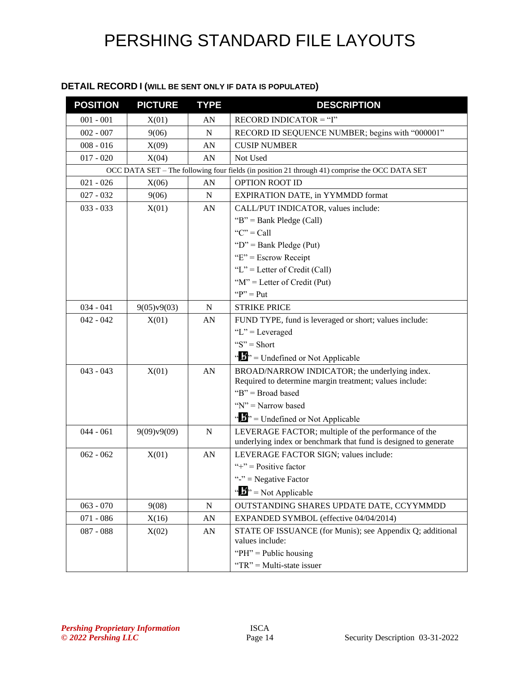#### **DETAIL RECORD I (WILL BE SENT ONLY IF DATA IS POPULATED)**

| <b>POSITION</b> | <b>PICTURE</b> | <b>TYPE</b> | <b>DESCRIPTION</b>                                                                             |
|-----------------|----------------|-------------|------------------------------------------------------------------------------------------------|
| $001 - 001$     | X(01)          | AN          | $RECORD INDICATOR = "I"$                                                                       |
| $002 - 007$     | 9(06)          | $\mathbf N$ | RECORD ID SEQUENCE NUMBER; begins with "000001"                                                |
| $008 - 016$     | X(09)          | AN          | <b>CUSIP NUMBER</b>                                                                            |
| $017 - 020$     | X(04)          | AN          | Not Used                                                                                       |
|                 |                |             | OCC DATA SET – The following four fields (in position 21 through 41) comprise the OCC DATA SET |
| $021 - 026$     | X(06)          | AN          | OPTION ROOT ID                                                                                 |
| $027 - 032$     | 9(06)          | ${\bf N}$   | EXPIRATION DATE, in YYMMDD format                                                              |
| $033 - 033$     | X(01)          | AN          | CALL/PUT INDICATOR, values include:                                                            |
|                 |                |             | " $B$ " = Bank Pledge (Call)                                                                   |
|                 |                |             | " $C$ " = Call                                                                                 |
|                 |                |             | " $D$ " = Bank Pledge (Put)                                                                    |
|                 |                |             | " $E$ " = Escrow Receipt                                                                       |
|                 |                |             | "L" = Letter of Credit (Call)                                                                  |
|                 |                |             | " $M$ " = Letter of Credit (Put)                                                               |
|                 |                |             | " $P$ " = Put                                                                                  |
| $034 - 041$     | 9(05)v9(03)    | $\mathbf N$ | <b>STRIKE PRICE</b>                                                                            |
| $042 - 042$     | X(01)          | AN          | FUND TYPE, fund is leveraged or short; values include:                                         |
|                 |                |             | $"L" = Leveraged$                                                                              |
|                 |                |             | " $S$ " = Short                                                                                |
|                 |                |             | " $\mathbf{B}$ " = Undefined or Not Applicable                                                 |
| $043 - 043$     | X(01)          | AN          | BROAD/NARROW INDICATOR; the underlying index.                                                  |
|                 |                |             | Required to determine margin treatment; values include:                                        |
|                 |                |             | "B" = Broad based                                                                              |
|                 |                |             | " $N$ " = Narrow based                                                                         |
|                 |                |             | " $\mathbf{J}$ " = Undefined or Not Applicable                                                 |
| $044 - 061$     | 9(09)v9(09)    | N           | LEVERAGE FACTOR; multiple of the performance of the                                            |
|                 |                |             | underlying index or benchmark that fund is designed to generate                                |
| $062 - 062$     | X(01)          | AN          | LEVERAGE FACTOR SIGN; values include:                                                          |
|                 |                |             | "+" = $Positive factor$                                                                        |
|                 |                |             | "-" = Negative Factor                                                                          |
|                 |                |             | $\mathbf{A}^{\mathbf{B}}$ = Not Applicable                                                     |
| $063 - 070$     | 9(08)          | ${\bf N}$   | OUTSTANDING SHARES UPDATE DATE, CCYYMMDD                                                       |
| $071 - 086$     | X(16)          | AN          | EXPANDED SYMBOL (effective 04/04/2014)                                                         |
| $087 - 088$     | X(02)          | AN          | STATE OF ISSUANCE (for Munis); see Appendix Q; additional                                      |
|                 |                |             | values include:                                                                                |
|                 |                |             | " $PH$ " = Public housing                                                                      |
|                 |                |             | "TR" = Multi-state issuer                                                                      |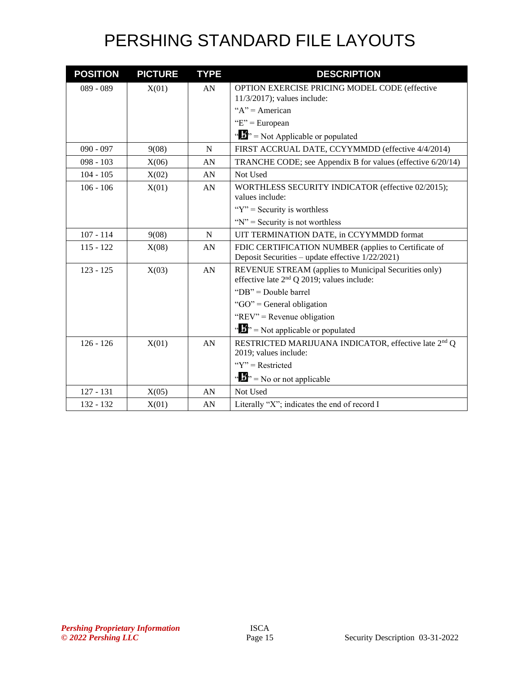| <b>POSITION</b> | <b>PICTURE</b> | <b>TYPE</b> | <b>DESCRIPTION</b>                                                                                     |
|-----------------|----------------|-------------|--------------------------------------------------------------------------------------------------------|
| $089 - 089$     | X(01)          | AN          | OPTION EXERCISE PRICING MODEL CODE (effective                                                          |
|                 |                |             | $11/3/2017$ ; values include:                                                                          |
|                 |                |             | " $A$ " = American                                                                                     |
|                 |                |             | "E" = European                                                                                         |
|                 |                |             | " $\mathbf{F}$ " = Not Applicable or populated                                                         |
| $090 - 097$     | 9(08)          | N           | FIRST ACCRUAL DATE, CCYYMMDD (effective 4/4/2014)                                                      |
| $098 - 103$     | X(06)          | AN          | TRANCHE CODE; see Appendix B for values (effective 6/20/14)                                            |
| $104 - 105$     | X(02)          | AN          | Not Used                                                                                               |
| $106 - 106$     | X(01)          | AN          | WORTHLESS SECURITY INDICATOR (effective 02/2015);<br>values include:                                   |
|                 |                |             | " $Y$ " = Security is worthless"                                                                       |
|                 |                |             | " $N$ " = Security is not worthless                                                                    |
| $107 - 114$     | 9(08)          | N           | UIT TERMINATION DATE, in CCYYMMDD format                                                               |
| $115 - 122$     | X(08)          | AN          | FDIC CERTIFICATION NUMBER (applies to Certificate of                                                   |
|                 |                |             | Deposit Securities – update effective 1/22/2021)                                                       |
| $123 - 125$     | X(03)          | AN          | REVENUE STREAM (applies to Municipal Securities only)<br>effective late $2nd Q 2019$ ; values include: |
|                 |                |             | "DB" = Double barrel                                                                                   |
|                 |                |             | " $GO$ " = General obligation                                                                          |
|                 |                |             | "REV" = Revenue obligation                                                                             |
|                 |                |             | " $\mathbf{F}$ " = Not applicable or populated                                                         |
| $126 - 126$     | X(01)          | AN          | RESTRICTED MARIJUANA INDICATOR, effective late 2 <sup>nd</sup> Q<br>2019; values include:              |
|                 |                |             | " $Y$ " = Restricted                                                                                   |
|                 |                |             | " $\mathbf{B}$ " = No or not applicable                                                                |
| $127 - 131$     | X(05)          | AN          | Not Used                                                                                               |
| 132 - 132       | X(01)          | AN          | Literally "X"; indicates the end of record I                                                           |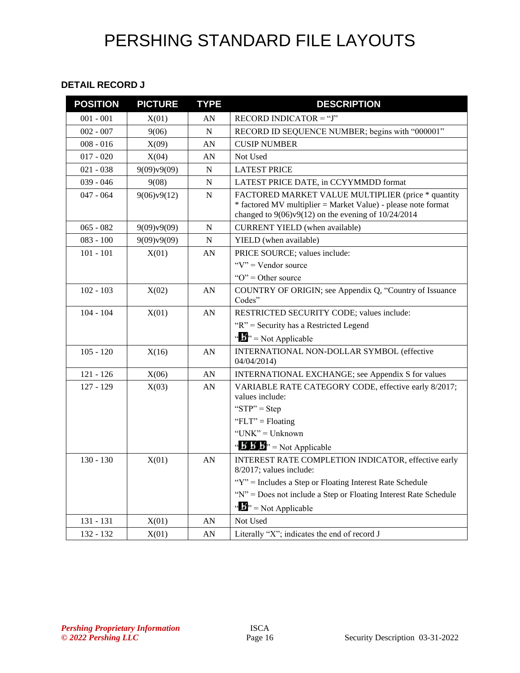#### **DETAIL RECORD J**

| <b>POSITION</b> | <b>PICTURE</b> | <b>TYPE</b> | <b>DESCRIPTION</b>                                                                                                                                                             |
|-----------------|----------------|-------------|--------------------------------------------------------------------------------------------------------------------------------------------------------------------------------|
| $001 - 001$     | X(01)          | AN          | $RECORD INDICATOR = "J"$                                                                                                                                                       |
| $002 - 007$     | 9(06)          | $\mathbf N$ | RECORD ID SEQUENCE NUMBER; begins with "000001"                                                                                                                                |
| $008 - 016$     | X(09)          | AN          | <b>CUSIP NUMBER</b>                                                                                                                                                            |
| $017 - 020$     | X(04)          | AN          | Not Used                                                                                                                                                                       |
| $021 - 038$     | 9(09)v9(09)    | $\mathbf N$ | <b>LATEST PRICE</b>                                                                                                                                                            |
| $039 - 046$     | 9(08)          | N           | LATEST PRICE DATE, in CCYYMMDD format                                                                                                                                          |
| $047 - 064$     | 9(06)v9(12)    | $\mathbf N$ | FACTORED MARKET VALUE MULTIPLIER (price * quantity<br>* factored MV multiplier = Market Value) - please note format<br>changed to $9(06)v9(12)$ on the evening of $10/24/2014$ |
| $065 - 082$     | 9(09)v9(09)    | N           | <b>CURRENT YIELD</b> (when available)                                                                                                                                          |
| $083 - 100$     | 9(09)v9(09)    | $\mathbf N$ | YIELD (when available)                                                                                                                                                         |
| $101 - 101$     | X(01)          | AN          | PRICE SOURCE; values include:                                                                                                                                                  |
|                 |                |             | " $V$ " = Vendor source                                                                                                                                                        |
|                 |                |             | " $O$ " = Other source                                                                                                                                                         |
| $102 - 103$     | X(02)          | AN          | COUNTRY OF ORIGIN; see Appendix Q, "Country of Issuance<br>Codes"                                                                                                              |
| $104 - 104$     | X(01)          | AN          | RESTRICTED SECURITY CODE; values include:                                                                                                                                      |
|                 |                |             | "R" = Security has a Restricted Legend                                                                                                                                         |
|                 |                |             | $\mathbf{B}^{\prime\prime}$ = Not Applicable                                                                                                                                   |
| $105 - 120$     | X(16)          | AN          | INTERNATIONAL NON-DOLLAR SYMBOL (effective<br>04/04/2014                                                                                                                       |
| $121 - 126$     | X(06)          | AN          | INTERNATIONAL EXCHANGE; see Appendix S for values                                                                                                                              |
| $127 - 129$     | X(03)          | AN          | VARIABLE RATE CATEGORY CODE, effective early 8/2017;<br>values include:                                                                                                        |
|                 |                |             | " $STP" = Step$                                                                                                                                                                |
|                 |                |             | "FLT" = Floating                                                                                                                                                               |
|                 |                |             | "UNK" = Unknown                                                                                                                                                                |
|                 |                |             | " <b>B</b> $\mathbf{B}$ " = Not Applicable                                                                                                                                     |
| $130 - 130$     | X(01)          | AN          | INTEREST RATE COMPLETION INDICATOR, effective early<br>8/2017; values include:                                                                                                 |
|                 |                |             | "Y" = Includes a Step or Floating Interest Rate Schedule                                                                                                                       |
|                 |                |             | "N" = Does not include a Step or Floating Interest Rate Schedule                                                                                                               |
|                 |                |             | $\mathbf{B}^{\prime\prime}$ = Not Applicable                                                                                                                                   |
| 131 - 131       | X(01)          | AN          | Not Used                                                                                                                                                                       |
| 132 - 132       | X(01)          | AN          | Literally "X"; indicates the end of record J                                                                                                                                   |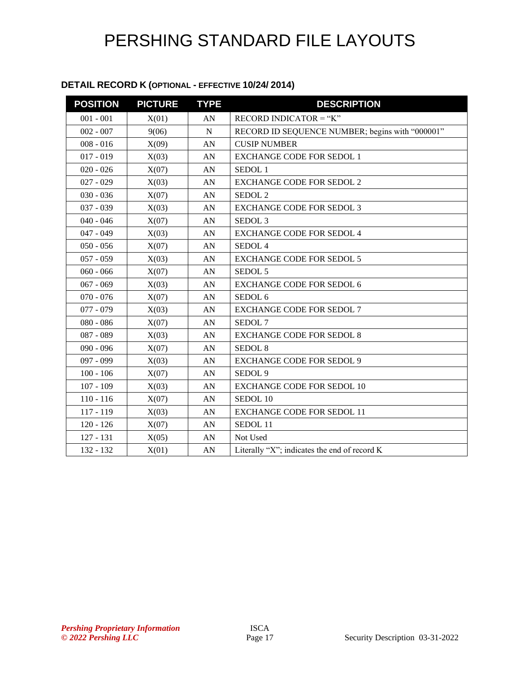#### **DETAIL RECORD K (OPTIONAL - EFFECTIVE 10/24/ 2014)**

| <b>POSITION</b> | <b>PICTURE</b> | <b>TYPE</b> | <b>DESCRIPTION</b>                              |
|-----------------|----------------|-------------|-------------------------------------------------|
| $001 - 001$     | X(01)          | AN          | RECORD INDICATOR = " $K$ "                      |
| $002 - 007$     | 9(06)          | ${\bf N}$   | RECORD ID SEQUENCE NUMBER; begins with "000001" |
| $008 - 016$     | X(09)          | AN          | <b>CUSIP NUMBER</b>                             |
| $017 - 019$     | X(03)          | AN          | <b>EXCHANGE CODE FOR SEDOL 1</b>                |
| $020 - 026$     | X(07)          | AN          | SEDOL <sub>1</sub>                              |
| $027 - 029$     | X(03)          | AN          | <b>EXCHANGE CODE FOR SEDOL 2</b>                |
| $030 - 036$     | X(07)          | AN          | SEDOL <sub>2</sub>                              |
| $037 - 039$     | X(03)          | AN          | <b>EXCHANGE CODE FOR SEDOL 3</b>                |
| $040 - 046$     | X(07)          | AN          | SEDOL <sub>3</sub>                              |
| $047 - 049$     | X(03)          | AN          | <b>EXCHANGE CODE FOR SEDOL 4</b>                |
| $050 - 056$     | X(07)          | AN          | SEDOL <sub>4</sub>                              |
| $057 - 059$     | X(03)          | AN          | <b>EXCHANGE CODE FOR SEDOL 5</b>                |
| $060 - 066$     | X(07)          | AN          | SEDOL <sub>5</sub>                              |
| $067 - 069$     | X(03)          | AN          | <b>EXCHANGE CODE FOR SEDOL 6</b>                |
| $070 - 076$     | X(07)          | AN          | SEDOL <sub>6</sub>                              |
| $077 - 079$     | X(03)          | AN          | <b>EXCHANGE CODE FOR SEDOL 7</b>                |
| $080 - 086$     | X(07)          | AN          | SEDOL <sub>7</sub>                              |
| 087 - 089       | X(03)          | AN          | <b>EXCHANGE CODE FOR SEDOL 8</b>                |
| $090 - 096$     | X(07)          | AN          | SEDOL <sub>8</sub>                              |
| 097 - 099       | X(03)          | AN          | <b>EXCHANGE CODE FOR SEDOL 9</b>                |
| $100 - 106$     | X(07)          | AN          | SEDOL <sub>9</sub>                              |
| $107 - 109$     | X(03)          | AN          | <b>EXCHANGE CODE FOR SEDOL 10</b>               |
| $110 - 116$     | X(07)          | AN          | SEDOL 10                                        |
| 117 - 119       | X(03)          | AN          | <b>EXCHANGE CODE FOR SEDOL 11</b>               |
| $120 - 126$     | X(07)          | AN          | SEDOL 11                                        |
| $127 - 131$     | X(05)          | AN          | Not Used                                        |
| 132 - 132       | X(01)          | AN          | Literally "X"; indicates the end of record K    |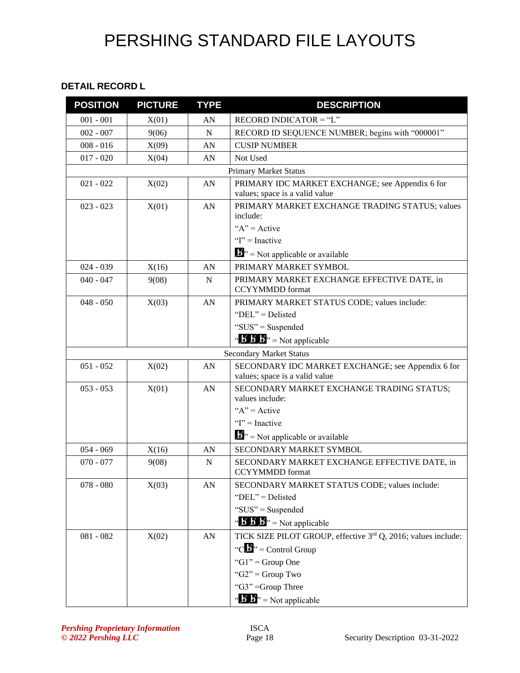#### **DETAIL RECORD L**

| <b>POSITION</b> | <b>PICTURE</b> | <b>TYPE</b> | <b>DESCRIPTION</b>                                                                  |
|-----------------|----------------|-------------|-------------------------------------------------------------------------------------|
| $001 - 001$     | X(01)          | AN          | RECORD INDICATOR $=$ "L"                                                            |
| $002 - 007$     | 9(06)          | $\mathbf N$ | RECORD ID SEQUENCE NUMBER; begins with "000001"                                     |
| $008 - 016$     | X(09)          | AN          | <b>CUSIP NUMBER</b>                                                                 |
| $017 - 020$     | X(04)          | AN          | Not Used                                                                            |
|                 |                |             | <b>Primary Market Status</b>                                                        |
| $021 - 022$     | X(02)          | AN          | PRIMARY IDC MARKET EXCHANGE; see Appendix 6 for<br>values; space is a valid value   |
| $023 - 023$     | X(01)          | AN          | PRIMARY MARKET EXCHANGE TRADING STATUS; values<br>include:                          |
|                 |                |             | " $A$ " = Active                                                                    |
|                 |                |             | " $I$ " = Inactive                                                                  |
|                 |                |             | $\mathbf{B}^{\prime\prime}$ = Not applicable or available                           |
| $024 - 039$     | X(16)          | AN          | PRIMARY MARKET SYMBOL                                                               |
| $040 - 047$     | 9(08)          | N           | PRIMARY MARKET EXCHANGE EFFECTIVE DATE, in<br><b>CCYYMMDD</b> format                |
| $048 - 050$     | X(03)          | AN          | PRIMARY MARKET STATUS CODE; values include:                                         |
|                 |                |             | "DEL" = Delisted                                                                    |
|                 |                |             | "SUS" = Suspended                                                                   |
|                 |                |             | $\mathbf{B} \cdot \mathbf{B} \cdot \mathbf{B}$ = Not applicable                     |
|                 |                |             | <b>Secondary Market Status</b>                                                      |
| $051 - 052$     | X(02)          | AN          | SECONDARY IDC MARKET EXCHANGE; see Appendix 6 for<br>values; space is a valid value |
| $053 - 053$     | X(01)          | AN          | SECONDARY MARKET EXCHANGE TRADING STATUS;<br>values include:                        |
|                 |                |             | " $A$ " = Active                                                                    |
|                 |                |             | " $I$ " = Inactive                                                                  |
|                 |                |             | $\mathbf{B}^{\prime\prime}$ = Not applicable or available                           |
| $054 - 069$     | X(16)          | AN          | SECONDARY MARKET SYMBOL                                                             |
| $070 - 077$     | 9(08)          | N           | SECONDARY MARKET EXCHANGE EFFECTIVE DATE, in<br><b>CCYYMMDD</b> format              |
| $078 - 080$     | X(03)          | AN          | SECONDARY MARKET STATUS CODE; values include:                                       |
|                 |                |             | "DEL" = Delisted                                                                    |
|                 |                |             | "SUS" = Suspended                                                                   |
|                 |                |             | $\mathbf{B}'$ <b><math>\mathbf{B}'</math></b> $\mathbf{B}'$ = Not applicable        |
| $081 - 082$     | X(02)          | AN          | TICK SIZE PILOT GROUP, effective 3rd Q, 2016; values include:                       |
|                 |                |             | "C $\mathbf{L}$ " = Control Group                                                   |
|                 |                |             | "G1" = Group One                                                                    |
|                 |                |             | " $G2"$ = Group Two                                                                 |
|                 |                |             | "G3" =Group Three                                                                   |
|                 |                |             | $\mathbf{B} \cdot \mathbf{B}$ <sup>3</sup> = Not applicable                         |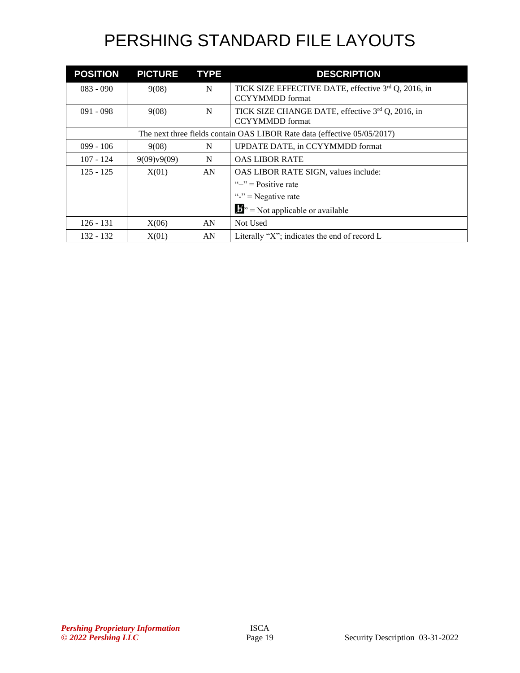| <b>POSITION</b> | <b>PICTURE</b>                                                           | <b>TYPE</b> | <b>DESCRIPTION</b>                                                            |  |  |
|-----------------|--------------------------------------------------------------------------|-------------|-------------------------------------------------------------------------------|--|--|
| $083 - 090$     | 9(08)                                                                    | N           | TICK SIZE EFFECTIVE DATE, effective 3rd Q, 2016, in<br><b>CCYYMMDD</b> format |  |  |
| $091 - 098$     | 9(08)                                                                    | N           | TICK SIZE CHANGE DATE, effective 3rd Q, 2016, in<br><b>CCYYMMDD</b> format    |  |  |
|                 | The next three fields contain OAS LIBOR Rate data (effective 05/05/2017) |             |                                                                               |  |  |
| $099 - 106$     | 9(08)                                                                    | N           | UPDATE DATE, in CCYYMMDD format                                               |  |  |
| $107 - 124$     | 9(09)v9(09)                                                              | N           | <b>OAS LIBOR RATE</b>                                                         |  |  |
| $125 - 125$     | X(01)                                                                    | AN          | OAS LIBOR RATE SIGN, values include:                                          |  |  |
|                 |                                                                          |             | "+" = $Positive$ rate                                                         |  |  |
|                 |                                                                          |             | " $v =$ Negative rate                                                         |  |  |
|                 |                                                                          |             | $\mathbf{B}^{\prime\prime}$ = Not applicable or available                     |  |  |
| $126 - 131$     | X(06)                                                                    | AN          | Not Used                                                                      |  |  |
| $132 - 132$     | X(01)                                                                    | AN          | Literally "X"; indicates the end of record L                                  |  |  |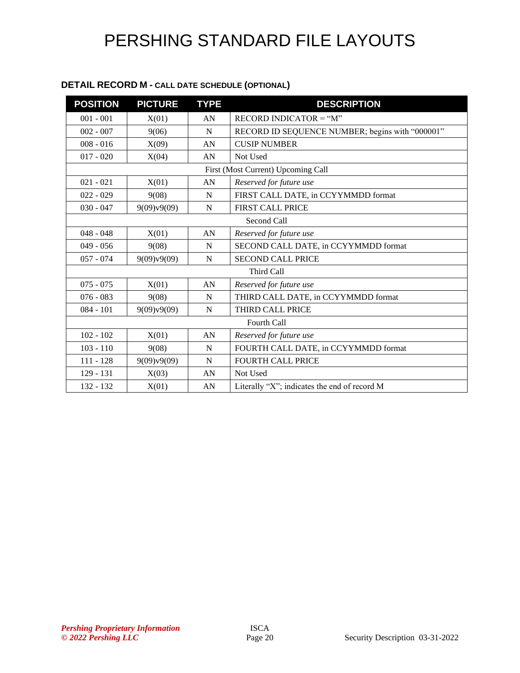#### **DETAIL RECORD M - CALL DATE SCHEDULE (OPTIONAL)**

| <b>POSITION</b> | <b>PICTURE</b> | <b>TYPE</b> | <b>DESCRIPTION</b>                              |  |  |
|-----------------|----------------|-------------|-------------------------------------------------|--|--|
| $001 - 001$     | X(01)          | AN          | $RECORD INDICATOR = "M"$                        |  |  |
| $002 - 007$     | 9(06)          | N           | RECORD ID SEQUENCE NUMBER; begins with "000001" |  |  |
| $008 - 016$     | X(09)          | AN          | <b>CUSIP NUMBER</b>                             |  |  |
| $017 - 020$     | X(04)          | AN          | Not Used                                        |  |  |
|                 |                |             | First (Most Current) Upcoming Call              |  |  |
| $021 - 021$     | X(01)          | AN          | Reserved for future use                         |  |  |
| $022 - 029$     | 9(08)          | N           | FIRST CALL DATE, in CCYYMMDD format             |  |  |
| $030 - 047$     | 9(09)v9(09)    | N           | <b>FIRST CALL PRICE</b>                         |  |  |
| Second Call     |                |             |                                                 |  |  |
| $048 - 048$     | X(01)          | AN          | Reserved for future use                         |  |  |
| $049 - 056$     | 9(08)          | N           | SECOND CALL DATE, in CCYYMMDD format            |  |  |
| $057 - 074$     | 9(09)v9(09)    | N           | <b>SECOND CALL PRICE</b>                        |  |  |
| Third Call      |                |             |                                                 |  |  |
| $075 - 075$     | X(01)          | AN          | Reserved for future use                         |  |  |
| $076 - 083$     | 9(08)          | N           | THIRD CALL DATE, in CCYYMMDD format             |  |  |
| $084 - 101$     | 9(09)v9(09)    | N           | THIRD CALL PRICE                                |  |  |
|                 |                |             | Fourth Call                                     |  |  |
| $102 - 102$     | X(01)          | AN          | Reserved for future use                         |  |  |
| $103 - 110$     | 9(08)          | N           | FOURTH CALL DATE, in CCYYMMDD format            |  |  |
| $111 - 128$     | 9(09)v9(09)    | $\mathbf N$ | <b>FOURTH CALL PRICE</b>                        |  |  |
| 129 - 131       | X(03)          | AN          | Not Used                                        |  |  |
| 132 - 132       | X(01)          | AN          | Literally "X"; indicates the end of record M    |  |  |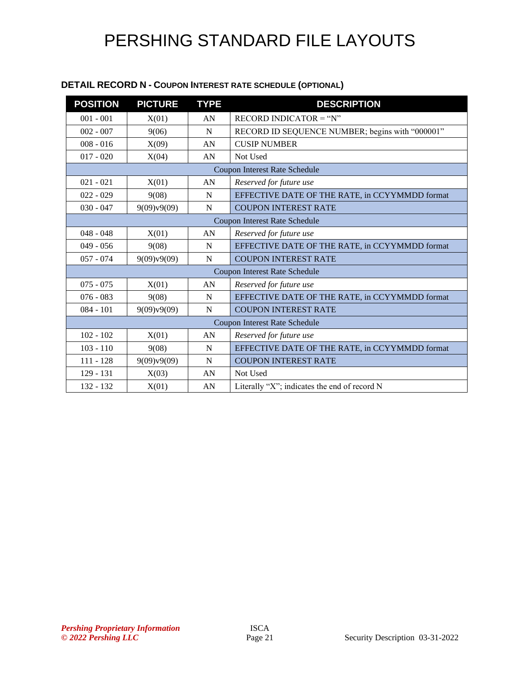| <b>POSITION</b> | <b>PICTURE</b> | <b>TYPE</b> | <b>DESCRIPTION</b>                              |
|-----------------|----------------|-------------|-------------------------------------------------|
| $001 - 001$     | X(01)          | AN          | $RECORD INDICATOR = "N"$                        |
| $002 - 007$     | 9(06)          | N           | RECORD ID SEQUENCE NUMBER; begins with "000001" |
| $008 - 016$     | X(09)          | AN          | <b>CUSIP NUMBER</b>                             |
| $017 - 020$     | X(04)          | AN          | Not Used                                        |
|                 |                |             | <b>Coupon Interest Rate Schedule</b>            |
| $021 - 021$     | X(01)          | AN          | Reserved for future use                         |
| $022 - 029$     | 9(08)          | N           | EFFECTIVE DATE OF THE RATE, in CCYYMMDD format  |
| $030 - 047$     | 9(09)v9(09)    | N           | <b>COUPON INTEREST RATE</b>                     |
|                 |                |             | <b>Coupon Interest Rate Schedule</b>            |
| $048 - 048$     | X(01)          | AN          | Reserved for future use                         |
| $049 - 056$     | 9(08)          | N           | EFFECTIVE DATE OF THE RATE, in CCYYMMDD format  |
| $057 - 074$     | 9(09)v9(09)    | N           | <b>COUPON INTEREST RATE</b>                     |
|                 |                |             | Coupon Interest Rate Schedule                   |
| $075 - 075$     | X(01)          | AN          | Reserved for future use                         |
| $076 - 083$     | 9(08)          | N           | EFFECTIVE DATE OF THE RATE, in CCYYMMDD format  |
| $084 - 101$     | 9(09)v9(09)    | N           | <b>COUPON INTEREST RATE</b>                     |
|                 |                |             | Coupon Interest Rate Schedule                   |
| $102 - 102$     | X(01)          | AN          | Reserved for future use                         |
| $103 - 110$     | 9(08)          | N           | EFFECTIVE DATE OF THE RATE, in CCYYMMDD format  |
| $111 - 128$     | 9(09)v9(09)    | N           | <b>COUPON INTEREST RATE</b>                     |

132 - 132  $X(01)$  AN Literally "X"; indicates the end of record N

#### **DETAIL RECORD N - COUPON INTEREST RATE SCHEDULE (OPTIONAL)**

129 - 131 | X(03) | AN | Not Used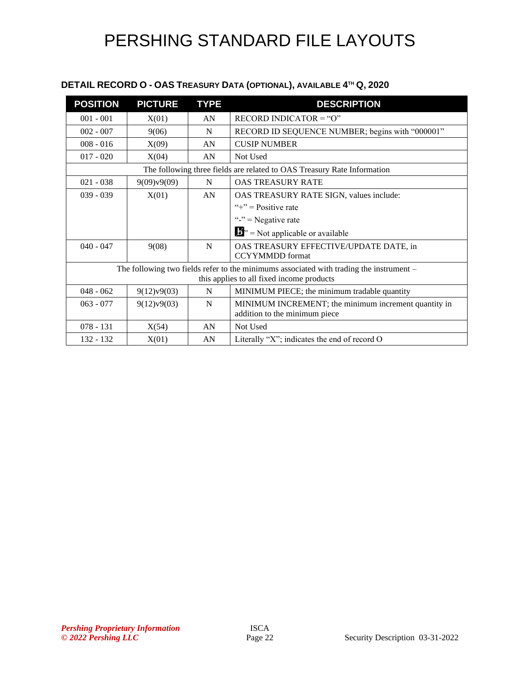#### **DETAIL RECORD O - OAS TREASURY DATA (OPTIONAL), AVAILABLE 4 TH Q, 2020**

| <b>POSITION</b> | <b>PICTURE</b>                                                                            | <b>TYPE</b> | <b>DESCRIPTION</b>                                                      |  |  |
|-----------------|-------------------------------------------------------------------------------------------|-------------|-------------------------------------------------------------------------|--|--|
| $001 - 001$     | X(01)                                                                                     | AN          | RECORD INDICATOR = " $O$ "                                              |  |  |
| $002 - 007$     | 9(06)                                                                                     | N           | RECORD ID SEQUENCE NUMBER; begins with "000001"                         |  |  |
| $008 - 016$     | X(09)                                                                                     | AN          | <b>CUSIP NUMBER</b>                                                     |  |  |
| $017 - 020$     | X(04)                                                                                     | AN          | Not Used                                                                |  |  |
|                 |                                                                                           |             | The following three fields are related to OAS Treasury Rate Information |  |  |
| $021 - 038$     | 9(09)v9(09)                                                                               | N           | <b>OAS TREASURY RATE</b>                                                |  |  |
| $039 - 039$     | X(01)                                                                                     | AN          | OAS TREASURY RATE SIGN, values include:                                 |  |  |
|                 |                                                                                           |             | " $+$ " = Positive rate"                                                |  |  |
|                 |                                                                                           |             | " $v =$ Negative rate                                                   |  |  |
|                 |                                                                                           |             | $\mathbf{F}$ $\mathbf{v}$ = Not applicable or available                 |  |  |
| $040 - 047$     | 9(08)                                                                                     | N           | OAS TREASURY EFFECTIVE/UPDATE DATE, in<br><b>CCYYMMDD</b> format        |  |  |
|                 | The following two fields refer to the minimums associated with trading the instrument $-$ |             |                                                                         |  |  |
|                 |                                                                                           |             | this applies to all fixed income products                               |  |  |
| $048 - 062$     | 9(12)v9(03)                                                                               | N           | MINIMUM PIECE; the minimum tradable quantity                            |  |  |
| $063 - 077$     | 9(12)v9(03)                                                                               | N           | MINIMUM INCREMENT; the minimum increment quantity in                    |  |  |
|                 |                                                                                           |             | addition to the minimum piece                                           |  |  |
| $078 - 131$     | X(54)                                                                                     | AN          | Not Used                                                                |  |  |
| $132 - 132$     | X(01)                                                                                     | AN          | Literally "X"; indicates the end of record $O$                          |  |  |